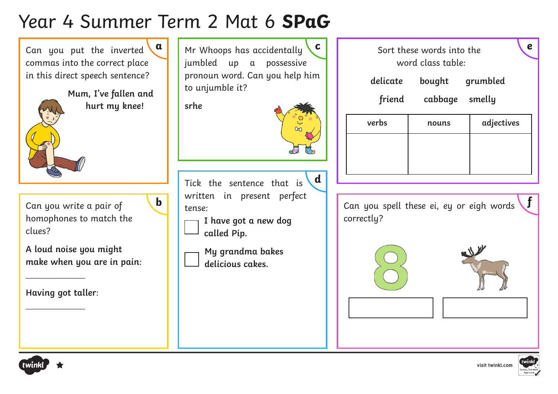# Year 4 Summer Term 2 Mat 6 **SPaG**

Can you put the inverted commas into the correct place in this direct speech sentence?

> **Mum, I've fallen and hurt my knee!**

Can you write a pair of homophones to match the clues?

**A loud noise you might make when you are in pain**:

**Having got taller**:

\_\_\_\_\_\_\_\_\_\_\_\_\_\_

\_\_\_\_\_\_\_\_\_\_\_\_\_\_







Tick the sentence that is written in present perfect tense: **d**

**I have got a new dog called Pip.** 

**My grandma bakes delicious cakes.**



| verbs | nouns | adjectives |
|-------|-------|------------|
|       |       |            |
|       |       |            |

**b**  $\begin{bmatrix} \text{winter.} \\ \text{tense.} \end{bmatrix}$  **f**  $\begin{bmatrix} \text{winter.} \\ \text{tense.} \end{bmatrix}$  **f**  $\begin{bmatrix} \text{can you spell these ei, ey or eight words} \\ \text{tense.} \end{bmatrix}$ correctly?









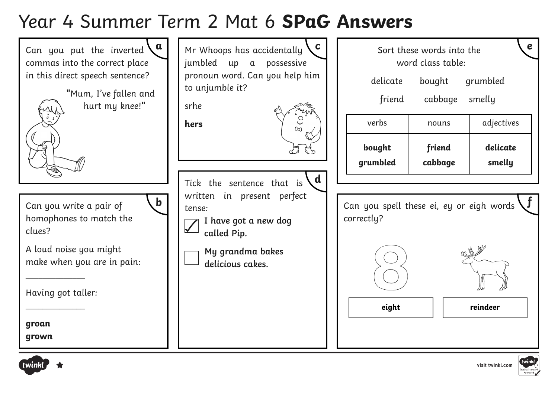## Year 4 Summer Term 2 Mat 6 **SPaG Answers**





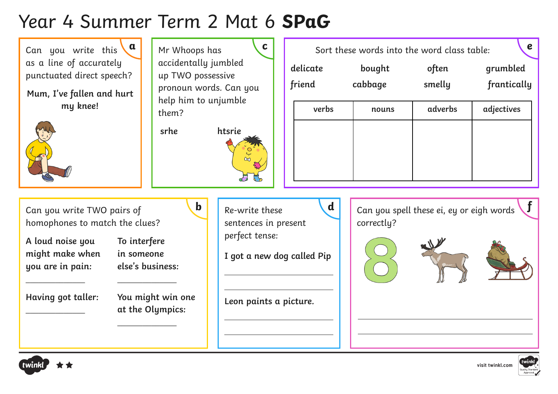# Year 4 Summer Term 2 Mat 6 **SPaG**

Can you write this  $\mathbf{a}$ as a line of accurately punctuated direct speech?

**Mum, I've fallen and hurt my knee!**



accidentally jumbled up TWO possessive pronoun words. Can you help him to unjumble them?

**srhe htsrie**

| $\mathfrak a$ | Mr Whoops has                                  |          | Sort these words into the word class table: |        | $\boldsymbol{e}$ |
|---------------|------------------------------------------------|----------|---------------------------------------------|--------|------------------|
|               | accidentally jumbled<br>up TWO possessive      | delicate | bought                                      | often  | grumbled         |
|               | pronoun words. Can you<br>help him to unjumble | friend   | cabbage                                     | smelly | frantically      |

| verbs | nouns | adverbs | adjectives |
|-------|-------|---------|------------|
|       |       |         |            |
|       |       |         |            |
|       |       |         |            |
|       |       |         |            |

Can you write TWO pairs of homophones to match the clues?

**A loud noise you might make when you are in pain:** 

 $\overline{\phantom{a}}$ 

 $\overline{\phantom{a}}$ 

**To interfere in someone else's business:** 

**Having got taller:** 

 $\overline{\phantom{a}}$ 

**You might win one at the Olympics:** 

 $\overline{\phantom{a}}$  , where  $\overline{\phantom{a}}$ 

Re-write these sentences in present perfect tense:

**I got a new dog called Pip**

**Leon paints a picture.**









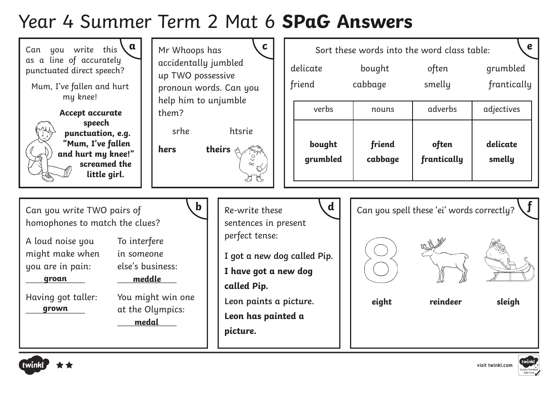#### Year 4 Summer Term 2 Mat 6 **SPaG Answers**

| $\mathbf d$<br>$\mathbf b$<br>Can you spell these 'ei' words correctly?<br>Re-write these<br>Can you write TWO pairs of<br>homophones to match the clues?<br>sentences in present<br>perfect tense:<br>A loud noise you<br>To interfere<br>might make when<br>in someone<br>I got a new dog called Pip.<br>you are in pain:<br>else's business:<br>I have got a new dog<br>meddle<br>groan<br>called Pip.<br>Having got taller:<br>You might win one<br>Leon paints a picture.<br>eight<br>reindeer<br>sleigh<br>at the Olympics:<br>grown<br>Leon has painted a<br>medal<br>picture. | $\mathbf a$<br>Can you write this<br>as a line of accurately<br>punctuated direct speech?<br>Mum, I've fallen and hurt<br>my knee!<br>Accept accurate<br>speech<br>punctuation, e.g.<br>"Mum, I've fallen<br>and hurt my knee!"<br>screamed the<br>little girl. | Mr Whoops has<br>accidentally jumbled<br>up TWO possessive<br>pronoun words. Can you<br>help him to unjumble<br>them?<br>srhe<br>htsrie<br>hers<br>theirs $\triangle$ | $\mathbf c$<br>delicate<br>friend<br>verbs<br>bought<br>grumbled | bought<br>cabbage<br>nouns<br>friend<br>cabbage | Sort these words into the word class table:<br>often<br>smelly<br>adverbs<br>often<br>frantically | $\boldsymbol{e}$<br>grumbled<br>frantically<br>adjectives<br>delicate<br>smelly |
|---------------------------------------------------------------------------------------------------------------------------------------------------------------------------------------------------------------------------------------------------------------------------------------------------------------------------------------------------------------------------------------------------------------------------------------------------------------------------------------------------------------------------------------------------------------------------------------|-----------------------------------------------------------------------------------------------------------------------------------------------------------------------------------------------------------------------------------------------------------------|-----------------------------------------------------------------------------------------------------------------------------------------------------------------------|------------------------------------------------------------------|-------------------------------------------------|---------------------------------------------------------------------------------------------------|---------------------------------------------------------------------------------|
|                                                                                                                                                                                                                                                                                                                                                                                                                                                                                                                                                                                       |                                                                                                                                                                                                                                                                 |                                                                                                                                                                       |                                                                  |                                                 |                                                                                                   |                                                                                 |



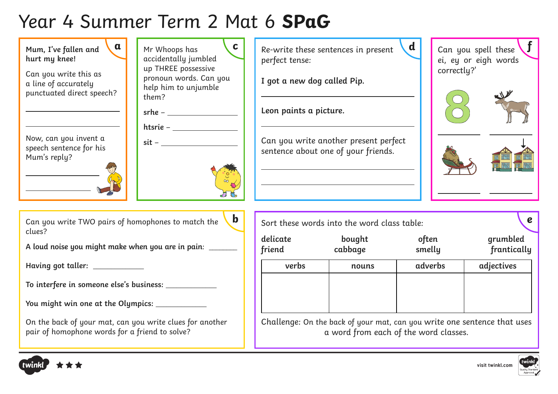# Year 4 Summer Term 2 Mat 6 **SPaG**



**Having got taller:** \_\_\_\_\_\_\_\_\_\_\_\_\_\_

**To interfere in someone else's business:** \_\_\_\_\_\_\_\_\_\_\_\_\_\_

**You might win one at the Olympics:** \_\_\_\_\_\_\_\_\_\_\_\_\_\_

On the back of your mat, can you write clues for another pair of homophone words for a friend to solve?

| Sort these words into the word class table: |                   |                 | e                       |  |  |
|---------------------------------------------|-------------------|-----------------|-------------------------|--|--|
| delicate<br>friend                          | bought<br>cabbage | often<br>smelly | grumbled<br>frantically |  |  |
| verbs                                       | nouns             | adverbs         | adjectives              |  |  |
|                                             |                   |                 |                         |  |  |

Challenge: On the back of your mat, can you write one sentence that uses a word from each of the word classes.